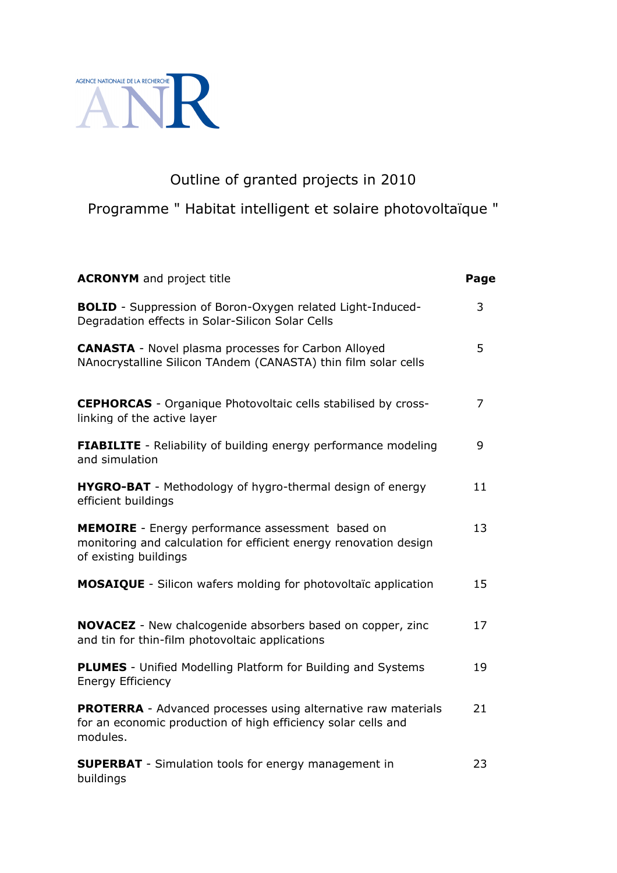

# Outline of granted projects in 2010

Programme " Habitat intelligent et solaire photovoltaïque "

| <b>ACRONYM</b> and project title                                                                                                                  | Page |
|---------------------------------------------------------------------------------------------------------------------------------------------------|------|
| <b>BOLID</b> - Suppression of Boron-Oxygen related Light-Induced-<br>Degradation effects in Solar-Silicon Solar Cells                             | 3    |
| <b>CANASTA</b> - Novel plasma processes for Carbon Alloyed<br>NAnocrystalline Silicon TAndem (CANASTA) thin film solar cells                      | 5    |
| <b>CEPHORCAS</b> - Organique Photovoltaic cells stabilised by cross-<br>linking of the active layer                                               | 7    |
| <b>FIABILITE</b> - Reliability of building energy performance modeling<br>and simulation                                                          | 9    |
| <b>HYGRO-BAT</b> - Methodology of hygro-thermal design of energy<br>efficient buildings                                                           | 11   |
| MEMOIRE - Energy performance assessment based on<br>monitoring and calculation for efficient energy renovation design<br>of existing buildings    | 13   |
| <b>MOSAIQUE</b> - Silicon wafers molding for photovoltaïc application                                                                             | 15   |
| <b>NOVACEZ</b> - New chalcogenide absorbers based on copper, zinc<br>and tin for thin-film photovoltaic applications                              | 17   |
| <b>PLUMES</b> - Unified Modelling Platform for Building and Systems<br><b>Energy Efficiency</b>                                                   | 19   |
| <b>PROTERRA</b> - Advanced processes using alternative raw materials<br>for an economic production of high efficiency solar cells and<br>modules. | 21   |
| <b>SUPERBAT</b> - Simulation tools for energy management in<br>buildings                                                                          | 23   |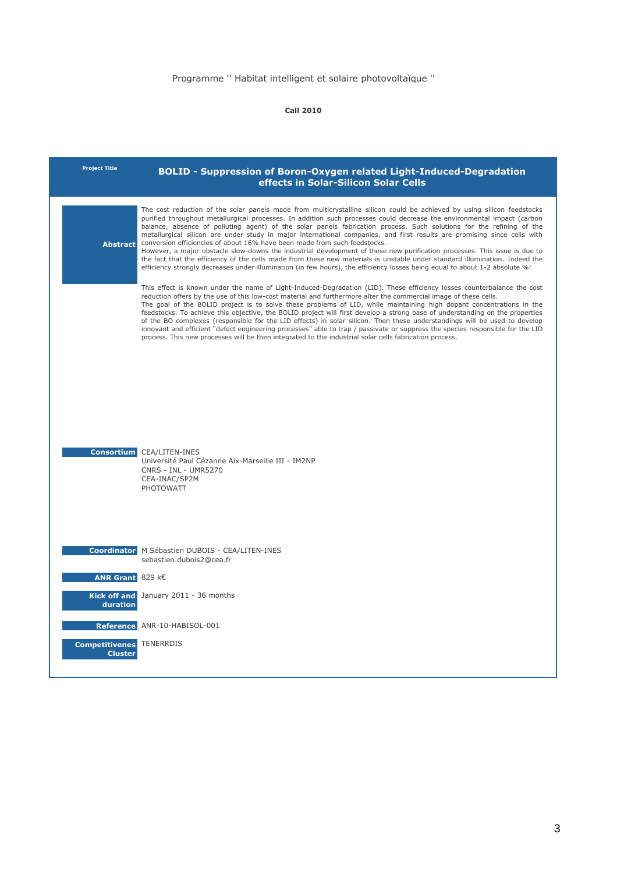| <b>Project Title</b>                              | <b>BOLID - Suppression of Boron-Oxygen related Light-Induced-Degradation</b><br>effects in Solar-Silicon Solar Cells                                                                                                                                                                                                                                                                                                                                                                                                                                                                                                                                                                                                                                                                                                                                                                                                                                                           |
|---------------------------------------------------|--------------------------------------------------------------------------------------------------------------------------------------------------------------------------------------------------------------------------------------------------------------------------------------------------------------------------------------------------------------------------------------------------------------------------------------------------------------------------------------------------------------------------------------------------------------------------------------------------------------------------------------------------------------------------------------------------------------------------------------------------------------------------------------------------------------------------------------------------------------------------------------------------------------------------------------------------------------------------------|
| <b>Abstract</b>                                   | The cost reduction of the solar panels made from multicrystalline silicon could be achieved by using silicon feedstocks<br>purified throughout metallurgical processes. In addition such processes could decrease the environmental impact (carbon<br>balance, absence of polluting agent) of the solar panels fabrication process. Such solutions for the refining of the<br>metallurgical silicon are under study in major international companies, and first results are promising since cells with<br>conversion efficiencies of about 16% have been made from such feedstocks.<br>However, a major obstacle slow-downs the industrial development of these new purification processes. This issue is due to<br>the fact that the efficiency of the cells made from these new materials is unstable under standard illumination. Indeed the<br>efficiency strongly decreases under illumination (in few hours), the efficiency losses being equal to about 1-2 absolute %! |
|                                                   | This effect is known under the name of Light-Induced-Degradation (LID). These efficiency losses counterbalance the cost<br>reduction offers by the use of this low-cost material and furthermore alter the commercial image of these cells.<br>The goal of the BOLID project is to solve these problems of LID, while maintaining high dopant concentrations in the<br>feedstocks. To achieve this objective, the BOLID project will first develop a strong base of understanding on the properties<br>of the BO complexes (responsible for the LID effects) in solar silicon. Then these understandings will be used to develop<br>innovant and efficient "defect engineering processes" able to trap / passivate or suppress the species responsible for the LID<br>process. This new processes will be then integrated to the industrial solar cells fabrication process.                                                                                                   |
|                                                   |                                                                                                                                                                                                                                                                                                                                                                                                                                                                                                                                                                                                                                                                                                                                                                                                                                                                                                                                                                                |
|                                                   |                                                                                                                                                                                                                                                                                                                                                                                                                                                                                                                                                                                                                                                                                                                                                                                                                                                                                                                                                                                |
|                                                   | <b>Consortium CEA/LITEN-INES</b><br>Université Paul Cézanne Aix-Marseille III - IM2NP<br><b>CNRS - INL - UMR5270</b><br>CEA-INAC/SP2M<br>PHOTOWATT                                                                                                                                                                                                                                                                                                                                                                                                                                                                                                                                                                                                                                                                                                                                                                                                                             |
|                                                   |                                                                                                                                                                                                                                                                                                                                                                                                                                                                                                                                                                                                                                                                                                                                                                                                                                                                                                                                                                                |
|                                                   | <b>Coordinator</b> M Sébastien DUBOIS - CEA/LITEN-INES<br>sebastien.dubois2@cea.fr                                                                                                                                                                                                                                                                                                                                                                                                                                                                                                                                                                                                                                                                                                                                                                                                                                                                                             |
| <b>ANR Grant</b> 829 $k \in$                      |                                                                                                                                                                                                                                                                                                                                                                                                                                                                                                                                                                                                                                                                                                                                                                                                                                                                                                                                                                                |
| duration                                          | Kick off and January 2011 - 36 months                                                                                                                                                                                                                                                                                                                                                                                                                                                                                                                                                                                                                                                                                                                                                                                                                                                                                                                                          |
|                                                   | Reference ANR-10-HABISOL-001                                                                                                                                                                                                                                                                                                                                                                                                                                                                                                                                                                                                                                                                                                                                                                                                                                                                                                                                                   |
| <b>Competitivenes TENERRDIS</b><br><b>Cluster</b> |                                                                                                                                                                                                                                                                                                                                                                                                                                                                                                                                                                                                                                                                                                                                                                                                                                                                                                                                                                                |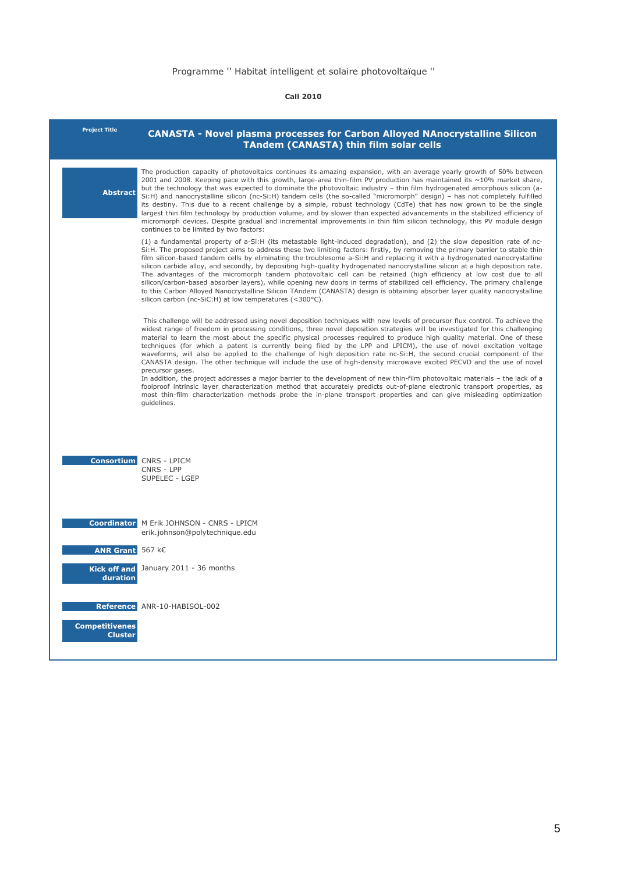| <b>Project Title</b>                    | <b>CANASTA - Novel plasma processes for Carbon Alloyed NAnocrystalline Silicon</b><br><b>TAndem (CANASTA) thin film solar cells</b>                                                                                                                                                                                                                                                                                                                                                                                                                                                                                                                                                                                                                                                                                                                                                                                                                                                                                                                                                                                                                                                          |
|-----------------------------------------|----------------------------------------------------------------------------------------------------------------------------------------------------------------------------------------------------------------------------------------------------------------------------------------------------------------------------------------------------------------------------------------------------------------------------------------------------------------------------------------------------------------------------------------------------------------------------------------------------------------------------------------------------------------------------------------------------------------------------------------------------------------------------------------------------------------------------------------------------------------------------------------------------------------------------------------------------------------------------------------------------------------------------------------------------------------------------------------------------------------------------------------------------------------------------------------------|
| <b>Abstract</b>                         | The production capacity of photovoltaics continues its amazing expansion, with an average yearly growth of 50% between<br>2001 and 2008. Keeping pace with this growth, large-area thin-film PV production has maintained its ~10% market share,<br>but the technology that was expected to dominate the photovoltaic industry - thin film hydrogenated amorphous silicon (a-<br>Si:H) and nanocrystalline silicon (nc-Si:H) tandem cells (the so-called "micromorph" design) - has not completely fulfilled<br>its destiny. This due to a recent challenge by a simple, robust technology (CdTe) that has now grown to be the single<br>largest thin film technology by production volume, and by slower than expected advancements in the stabilized efficiency of<br>micromorph devices. Despite gradual and incremental improvements in thin film silicon technology, this PV module design<br>continues to be limited by two factors:                                                                                                                                                                                                                                                   |
|                                         | (1) a fundamental property of a-Si:H (its metastable light-induced degradation), and (2) the slow deposition rate of nc-<br>Si:H. The proposed project aims to address these two limiting factors: firstly, by removing the primary barrier to stable thin-<br>film silicon-based tandem cells by eliminating the troublesome a-Si:H and replacing it with a hydrogenated nanocrystalline<br>silicon carbide alloy, and secondly, by depositing high-quality hydrogenated nanocrystalline silicon at a high deposition rate.<br>The advantages of the micromorph tandem photovoltaic cell can be retained (high efficiency at low cost due to all<br>silicon/carbon-based absorber layers), while opening new doors in terms of stabilized cell efficiency. The primary challenge<br>to this Carbon Alloyed Nanocrystalline Silicon TAndem (CANASTA) design is obtaining absorber layer quality nanocrystalline<br>silicon carbon (nc-SiC:H) at low temperatures (<300°C).                                                                                                                                                                                                                   |
|                                         | This challenge will be addressed using novel deposition techniques with new levels of precursor flux control. To achieve the<br>widest range of freedom in processing conditions, three novel deposition strategies will be investigated for this challenging<br>material to learn the most about the specific physical processes required to produce high quality material. One of these<br>techniques (for which a patent is currently being filed by the LPP and LPICM), the use of novel excitation voltage<br>waveforms, will also be applied to the challenge of high deposition rate nc-Si:H, the second crucial component of the<br>CANASTA design. The other technique will include the use of high-density microwave excited PECVD and the use of novel<br>precursor gases.<br>In addition, the project addresses a major barrier to the development of new thin-film photovoltaic materials - the lack of a<br>foolproof intrinsic layer characterization method that accurately predicts out-of-plane electronic transport properties, as<br>most thin-film characterization methods probe the in-plane transport properties and can give misleading optimization<br>quidelines. |
|                                         | <b>Consortium</b> CNRS - LPICM<br>CNRS - LPP<br>SUPELEC - LGEP                                                                                                                                                                                                                                                                                                                                                                                                                                                                                                                                                                                                                                                                                                                                                                                                                                                                                                                                                                                                                                                                                                                               |
|                                         | <b>Coordinator</b> M Erik JOHNSON - CNRS - LPICM<br>erik.johnson@polytechnique.edu                                                                                                                                                                                                                                                                                                                                                                                                                                                                                                                                                                                                                                                                                                                                                                                                                                                                                                                                                                                                                                                                                                           |
| <b>ANR Grant</b> 567 k€                 |                                                                                                                                                                                                                                                                                                                                                                                                                                                                                                                                                                                                                                                                                                                                                                                                                                                                                                                                                                                                                                                                                                                                                                                              |
| duration                                | Kick off and January 2011 - 36 months                                                                                                                                                                                                                                                                                                                                                                                                                                                                                                                                                                                                                                                                                                                                                                                                                                                                                                                                                                                                                                                                                                                                                        |
| <b>Competitivenes</b><br><b>Cluster</b> | Reference ANR-10-HABISOL-002                                                                                                                                                                                                                                                                                                                                                                                                                                                                                                                                                                                                                                                                                                                                                                                                                                                                                                                                                                                                                                                                                                                                                                 |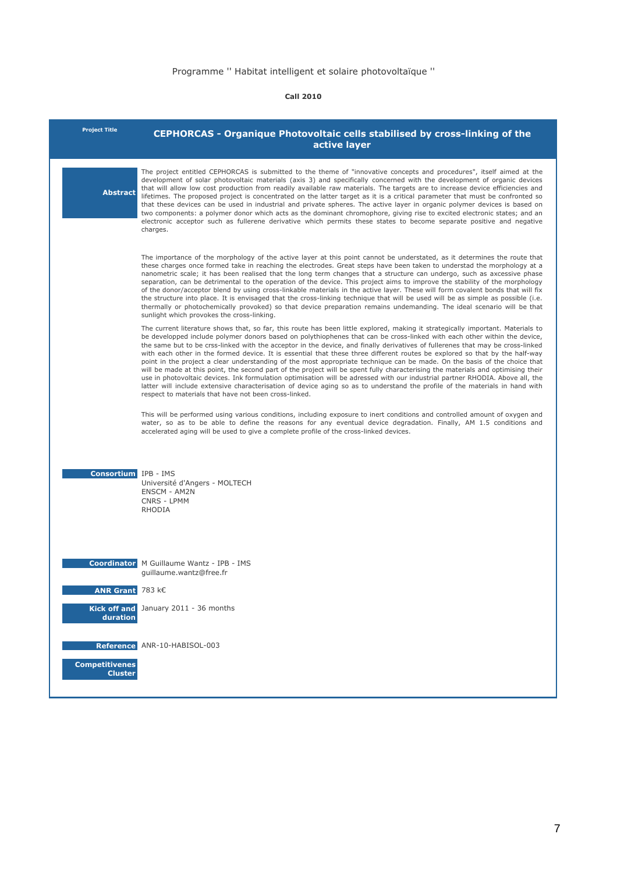| <b>Project Title</b>                    | <b>CEPHORCAS - Organique Photovoltaic cells stabilised by cross-linking of the</b><br>active layer                                                                                                                                                                                                                                                                                                                                                                                                                                                                                                                                                                                                                                                                                                                                                                                                                                                                                                                                                                                                                      |
|-----------------------------------------|-------------------------------------------------------------------------------------------------------------------------------------------------------------------------------------------------------------------------------------------------------------------------------------------------------------------------------------------------------------------------------------------------------------------------------------------------------------------------------------------------------------------------------------------------------------------------------------------------------------------------------------------------------------------------------------------------------------------------------------------------------------------------------------------------------------------------------------------------------------------------------------------------------------------------------------------------------------------------------------------------------------------------------------------------------------------------------------------------------------------------|
| <b>Abstract</b>                         | The project entitled CEPHORCAS is submitted to the theme of "innovative concepts and procedures", itself aimed at the<br>development of solar photovoltaic materials (axis 3) and specifically concerned with the development of organic devices<br>that will allow low cost production from readily available raw materials. The targets are to increase device efficiencies and<br>lifetimes. The proposed project is concentrated on the latter target as it is a critical parameter that must be confronted so<br>that these devices can be used in industrial and private spheres. The active layer in organic polymer devices is based on<br>two components: a polymer donor which acts as the dominant chromophore, giving rise to excited electronic states; and an<br>electronic acceptor such as fullerene derivative which permits these states to become separate positive and negative<br>charges.                                                                                                                                                                                                         |
|                                         | The importance of the morphology of the active layer at this point cannot be understated, as it determines the route that<br>these charges once formed take in reaching the electrodes. Great steps have been taken to understad the morphology at a<br>nanometric scale; it has been realised that the long term changes that a structure can undergo, such as axcessive phase<br>separation, can be detrimental to the operation of the device. This project aims to improve the stability of the morphology<br>of the donor/acceptor blend by using cross-linkable materials in the active layer. These will form covalent bonds that will fix<br>the structure into place. It is envisaged that the cross-linking technique that will be used will be as simple as possible (i.e.<br>thermally or photochemically provoked) so that device preparation remains undemanding. The ideal scenario will be that<br>sunlight which provokes the cross-linking.                                                                                                                                                           |
|                                         | The current literature shows that, so far, this route has been little explored, making it strategically important. Materials to<br>be developped include polymer donors based on polythiophenes that can be cross-linked with each other within the device,<br>the same but to be crss-linked with the acceptor in the device, and finally derivatives of fullerenes that may be cross-linked<br>with each other in the formed device. It is essential that these three different routes be explored so that by the half-way<br>point in the project a clear understanding of the most appropriate technique can be made. On the basis of the choice that<br>will be made at this point, the second part of the project will be spent fully characterising the materials and optimising their<br>use in photovoltaic devices. Ink formulation optimisation will be adressed with our industrial partner RHODIA. Above all, the<br>latter will include extensive characterisation of device aging so as to understand the profile of the materials in hand with<br>respect to materials that have not been cross-linked. |
|                                         | This will be performed using various conditions, including exposure to inert conditions and controlled amount of oxygen and<br>water, so as to be able to define the reasons for any eventual device degradation. Finally, AM 1.5 conditions and<br>accelerated aging will be used to give a complete profile of the cross-linked devices.                                                                                                                                                                                                                                                                                                                                                                                                                                                                                                                                                                                                                                                                                                                                                                              |
| <b>Consortium</b> IPB - IMS             | Université d'Angers - MOLTECH<br><b>ENSCM - AM2N</b><br>CNRS - LPMM<br>RHODIA                                                                                                                                                                                                                                                                                                                                                                                                                                                                                                                                                                                                                                                                                                                                                                                                                                                                                                                                                                                                                                           |
|                                         | <b>Coordinator</b> M Guillaume Wantz - IPB - IMS<br>guillaume.wantz@free.fr                                                                                                                                                                                                                                                                                                                                                                                                                                                                                                                                                                                                                                                                                                                                                                                                                                                                                                                                                                                                                                             |
| ANR Grant 783 k€                        |                                                                                                                                                                                                                                                                                                                                                                                                                                                                                                                                                                                                                                                                                                                                                                                                                                                                                                                                                                                                                                                                                                                         |
| duration                                | Kick off and January 2011 - 36 months                                                                                                                                                                                                                                                                                                                                                                                                                                                                                                                                                                                                                                                                                                                                                                                                                                                                                                                                                                                                                                                                                   |
| <b>Reference</b>                        | ANR-10-HABISOL-003                                                                                                                                                                                                                                                                                                                                                                                                                                                                                                                                                                                                                                                                                                                                                                                                                                                                                                                                                                                                                                                                                                      |
| <b>Competitivenes</b><br><b>Cluster</b> |                                                                                                                                                                                                                                                                                                                                                                                                                                                                                                                                                                                                                                                                                                                                                                                                                                                                                                                                                                                                                                                                                                                         |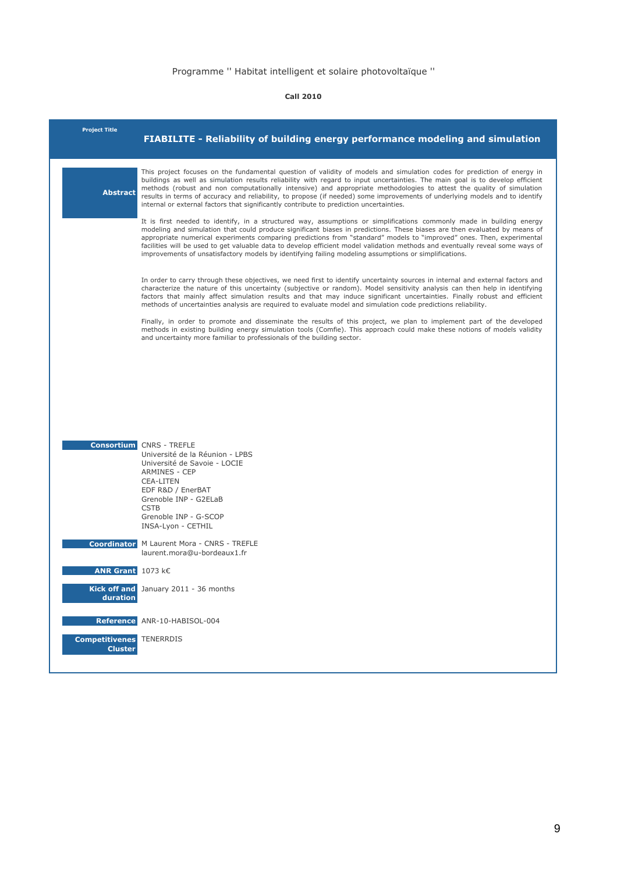| <b>Project Title</b>                              | FIABILITE - Reliability of building energy performance modeling and simulation                                                                                                                                                                                                                                                                                                                                                                                                                                                                                                                                       |
|---------------------------------------------------|----------------------------------------------------------------------------------------------------------------------------------------------------------------------------------------------------------------------------------------------------------------------------------------------------------------------------------------------------------------------------------------------------------------------------------------------------------------------------------------------------------------------------------------------------------------------------------------------------------------------|
| <b>Abstract</b>                                   | This project focuses on the fundamental question of validity of models and simulation codes for prediction of energy in<br>buildings as well as simulation results reliability with regard to input uncertainties. The main goal is to develop efficient<br>methods (robust and non computationally intensive) and appropriate methodologies to attest the quality of simulation<br>results in terms of accuracy and reliability, to propose (if needed) some improvements of underlying models and to identify<br>internal or external factors that significantly contribute to prediction uncertainties.           |
|                                                   | It is first needed to identify, in a structured way, assumptions or simplifications commonly made in building energy<br>modeling and simulation that could produce significant biases in predictions. These biases are then evaluated by means of<br>appropriate numerical experiments comparing predictions from "standard" models to "improved" ones. Then, experimental<br>facilities will be used to get valuable data to develop efficient model validation methods and eventually reveal some ways of<br>improvements of unsatisfactory models by identifying failing modeling assumptions or simplifications. |
|                                                   | In order to carry through these objectives, we need first to identify uncertainty sources in internal and external factors and<br>characterize the nature of this uncertainty (subjective or random). Model sensitivity analysis can then help in identifying<br>factors that mainly affect simulation results and that may induce significant uncertainties. Finally robust and efficient<br>methods of uncertainties analysis are required to evaluate model and simulation code predictions reliability.                                                                                                          |
|                                                   | Finally, in order to promote and disseminate the results of this project, we plan to implement part of the developed<br>methods in existing building energy simulation tools (Comfie). This approach could make these notions of models validity<br>and uncertainty more familiar to professionals of the building sector.                                                                                                                                                                                                                                                                                           |
|                                                   |                                                                                                                                                                                                                                                                                                                                                                                                                                                                                                                                                                                                                      |
|                                                   |                                                                                                                                                                                                                                                                                                                                                                                                                                                                                                                                                                                                                      |
|                                                   |                                                                                                                                                                                                                                                                                                                                                                                                                                                                                                                                                                                                                      |
|                                                   | <b>Consortium</b> CNRS - TREFLE<br>Université de la Réunion - LPBS<br>Université de Savoie - LOCIE<br><b>ARMINES - CEP</b><br><b>CEA-LITEN</b><br>EDF R&D / EnerBAT<br>Grenoble INP - G2ELaB<br><b>CSTB</b><br>Grenoble INP - G-SCOP<br>INSA-Lyon - CETHIL                                                                                                                                                                                                                                                                                                                                                           |
|                                                   | <b>Coordinator</b> M Laurent Mora - CNRS - TREFLE<br>laurent.mora@u-bordeaux1.fr                                                                                                                                                                                                                                                                                                                                                                                                                                                                                                                                     |
| <b>ANR Grant</b> $1073$ k $\epsilon$              |                                                                                                                                                                                                                                                                                                                                                                                                                                                                                                                                                                                                                      |
| duration                                          | Kick off and January 2011 - 36 months                                                                                                                                                                                                                                                                                                                                                                                                                                                                                                                                                                                |
|                                                   | Reference ANR-10-HABISOL-004                                                                                                                                                                                                                                                                                                                                                                                                                                                                                                                                                                                         |
| <b>Competitivenes TENERRDIS</b><br><b>Cluster</b> |                                                                                                                                                                                                                                                                                                                                                                                                                                                                                                                                                                                                                      |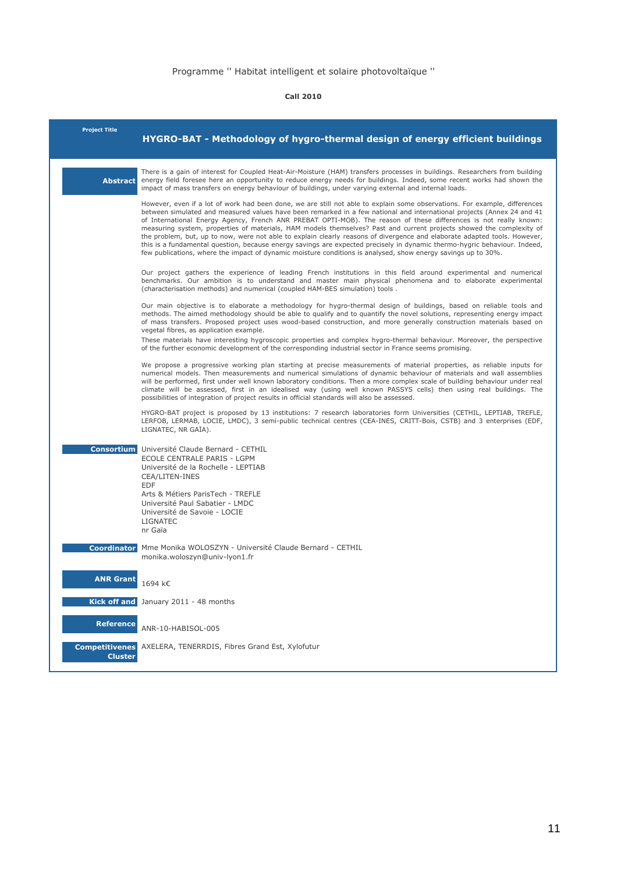| <b>Project Title</b>                    | HYGRO-BAT - Methodology of hygro-thermal design of energy efficient buildings                                                                                                                                                                                                                                                                                                                                                                                                                                                                                                                                                                                                                                                                                                                                                                                                |
|-----------------------------------------|------------------------------------------------------------------------------------------------------------------------------------------------------------------------------------------------------------------------------------------------------------------------------------------------------------------------------------------------------------------------------------------------------------------------------------------------------------------------------------------------------------------------------------------------------------------------------------------------------------------------------------------------------------------------------------------------------------------------------------------------------------------------------------------------------------------------------------------------------------------------------|
| <b>Abstract</b>                         | There is a gain of interest for Coupled Heat-Air-Moisture (HAM) transfers processes in buildings. Researchers from building<br>energy field foresee here an opportunity to reduce energy needs for buildings. Indeed, some recent works had shown the<br>impact of mass transfers on energy behaviour of buildings, under varying external and internal loads.                                                                                                                                                                                                                                                                                                                                                                                                                                                                                                               |
|                                         | However, even if a lot of work had been done, we are still not able to explain some observations. For example, differences<br>between simulated and measured values have been remarked in a few national and international projects (Annex 24 and 41<br>of International Energy Agency, French ANR PREBAT OPTI-MOB). The reason of these differences is not really known:<br>measuring system, properties of materials, HAM models themselves? Past and current projects showed the complexity of<br>the problem, but, up to now, were not able to explain clearly reasons of divergence and elaborate adapted tools. However,<br>this is a fundamental question, because energy savings are expected precisely in dynamic thermo-hygric behaviour. Indeed,<br>few publications, where the impact of dynamic moisture conditions is analysed, show energy savings up to 30%. |
|                                         | Our project gathers the experience of leading French institutions in this field around experimental and numerical<br>benchmarks. Our ambition is to understand and master main physical phenomena and to elaborate experimental<br>(characterisation methods) and numerical (coupled HAM-BES simulation) tools.                                                                                                                                                                                                                                                                                                                                                                                                                                                                                                                                                              |
|                                         | Our main objective is to elaborate a methodology for hygro-thermal design of buildings, based on reliable tools and<br>methods. The aimed methodology should be able to qualify and to quantify the novel solutions, representing energy impact<br>of mass transfers. Proposed project uses wood-based construction, and more generally construction materials based on<br>vegetal fibres, as application example.                                                                                                                                                                                                                                                                                                                                                                                                                                                           |
|                                         | These materials have interesting hygroscopic properties and complex hygro-thermal behaviour. Moreover, the perspective<br>of the further economic development of the corresponding industrial sector in France seems promising.                                                                                                                                                                                                                                                                                                                                                                                                                                                                                                                                                                                                                                              |
|                                         | We propose a progressive working plan starting at precise measurements of material properties, as reliable inputs for<br>numerical models. Then measurements and numerical simulations of dynamic behaviour of materials and wall assemblies<br>will be performed, first under well known laboratory conditions. Then a more complex scale of building behaviour under real<br>climate will be assessed, first in an idealised way (using well known PASSYS cells) then using real buildings. The<br>possibilities of integration of project results in official standards will also be assessed.                                                                                                                                                                                                                                                                            |
|                                         | HYGRO-BAT project is proposed by 13 institutions: 7 research laboratories form Universities (CETHIL, LEPTIAB, TREFLE,<br>LERFOB, LERMAB, LOCIE, LMDC), 3 semi-public technical centres (CEA-INES, CRITT-Bois, CSTB) and 3 enterprises (EDF,<br>LIGNATEC, NR GAÏA).                                                                                                                                                                                                                                                                                                                                                                                                                                                                                                                                                                                                           |
|                                         | <b>Consortium</b> Université Claude Bernard - CETHIL<br>ECOLE CENTRALE PARIS - LGPM<br>Université de la Rochelle - LEPTIAB<br>CEA/LITEN-INES<br><b>EDF</b><br>Arts & Métiers ParisTech - TREFLE<br>Université Paul Sabatier - LMDC<br>Université de Savoie - LOCIE<br>LIGNATEC<br>nr Gaïa                                                                                                                                                                                                                                                                                                                                                                                                                                                                                                                                                                                    |
| <b>Coordinator</b>                      | Mme Monika WOLOSZYN - Université Claude Bernard - CETHIL<br>monika.woloszyn@univ-lyon1.fr                                                                                                                                                                                                                                                                                                                                                                                                                                                                                                                                                                                                                                                                                                                                                                                    |
| <b>ANR Grant</b>                        | 1694 k€                                                                                                                                                                                                                                                                                                                                                                                                                                                                                                                                                                                                                                                                                                                                                                                                                                                                      |
|                                         | Kick off and January 2011 - 48 months                                                                                                                                                                                                                                                                                                                                                                                                                                                                                                                                                                                                                                                                                                                                                                                                                                        |
| <b>Reference</b>                        | ANR-10-HABISOL-005                                                                                                                                                                                                                                                                                                                                                                                                                                                                                                                                                                                                                                                                                                                                                                                                                                                           |
| <b>Competitivenes</b><br><b>Cluster</b> | AXELERA, TENERRDIS, Fibres Grand Est, Xylofutur                                                                                                                                                                                                                                                                                                                                                                                                                                                                                                                                                                                                                                                                                                                                                                                                                              |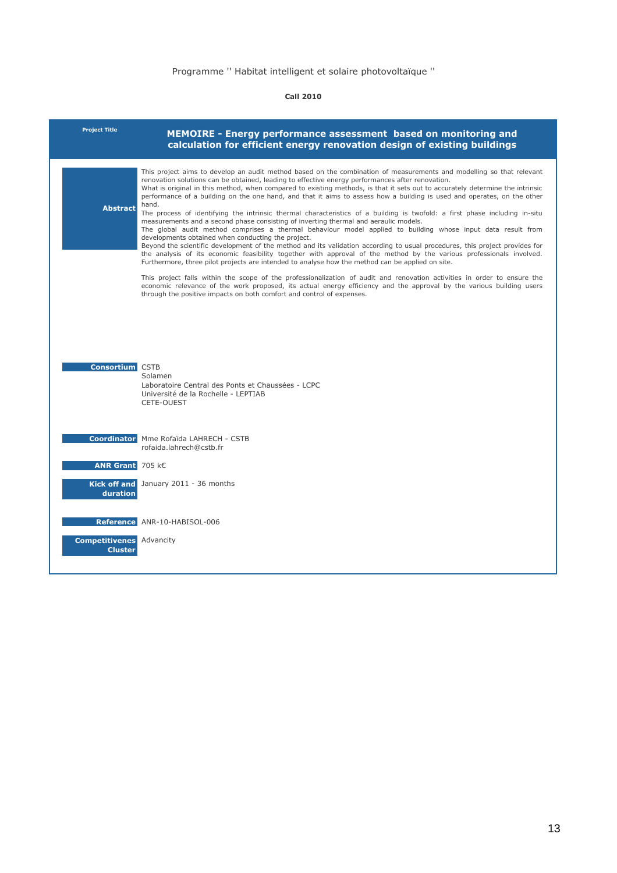| <b>Project Title</b>                              | MEMOIRE - Energy performance assessment based on monitoring and<br>calculation for efficient energy renovation design of existing buildings                                                                                                                                                                                                                                                                                                                                                                                                                                                                                                                                                                                                                                                                                                                                                                                                                                                                              |
|---------------------------------------------------|--------------------------------------------------------------------------------------------------------------------------------------------------------------------------------------------------------------------------------------------------------------------------------------------------------------------------------------------------------------------------------------------------------------------------------------------------------------------------------------------------------------------------------------------------------------------------------------------------------------------------------------------------------------------------------------------------------------------------------------------------------------------------------------------------------------------------------------------------------------------------------------------------------------------------------------------------------------------------------------------------------------------------|
| <b>Abstract</b>                                   | This project aims to develop an audit method based on the combination of measurements and modelling so that relevant<br>renovation solutions can be obtained, leading to effective energy performances after renovation.<br>What is original in this method, when compared to existing methods, is that it sets out to accurately determine the intrinsic<br>performance of a building on the one hand, and that it aims to assess how a building is used and operates, on the other<br>hand.<br>The process of identifying the intrinsic thermal characteristics of a building is twofold: a first phase including in-situ<br>measurements and a second phase consisting of inverting thermal and aeraulic models.<br>The global audit method comprises a thermal behaviour model applied to building whose input data result from<br>developments obtained when conducting the project.<br>Beyond the scientific development of the method and its validation according to usual procedures, this project provides for |
|                                                   | the analysis of its economic feasibility together with approval of the method by the various professionals involved.<br>Furthermore, three pilot projects are intended to analyse how the method can be applied on site.<br>This project falls within the scope of the professionalization of audit and renovation activities in order to ensure the<br>economic relevance of the work proposed, its actual energy efficiency and the approval by the various building users<br>through the positive impacts on both comfort and control of expenses.                                                                                                                                                                                                                                                                                                                                                                                                                                                                    |
| <b>Consortium</b> CSTB                            | Solamen<br>Laboratoire Central des Ponts et Chaussées - LCPC<br>Université de la Rochelle - LEPTIAB<br>CETE-OUEST                                                                                                                                                                                                                                                                                                                                                                                                                                                                                                                                                                                                                                                                                                                                                                                                                                                                                                        |
|                                                   | Coordinator Mme Rofaïda LAHRECH - CSTB<br>rofaida.lahrech@cstb.fr                                                                                                                                                                                                                                                                                                                                                                                                                                                                                                                                                                                                                                                                                                                                                                                                                                                                                                                                                        |
| ANR Grant 705 k€<br>duration                      | Kick off and January 2011 - 36 months                                                                                                                                                                                                                                                                                                                                                                                                                                                                                                                                                                                                                                                                                                                                                                                                                                                                                                                                                                                    |
| <b>Competitivenes</b> Advancity<br><b>Cluster</b> | Reference ANR-10-HABISOL-006                                                                                                                                                                                                                                                                                                                                                                                                                                                                                                                                                                                                                                                                                                                                                                                                                                                                                                                                                                                             |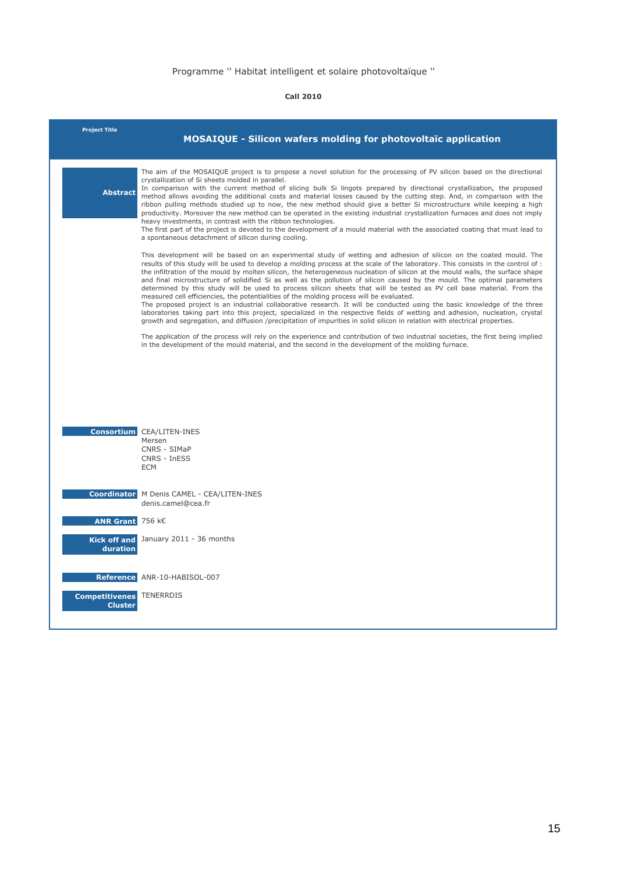| <b>Project Title</b>                                          | <b>MOSAIQUE - Silicon wafers molding for photovoltaïc application</b>                                                                                                                                                                                                                                                                                                                                                                                                                                                                                                                                                                                                                                                                                                                                                                                                                                                                                                                                                                                                                                                                      |
|---------------------------------------------------------------|--------------------------------------------------------------------------------------------------------------------------------------------------------------------------------------------------------------------------------------------------------------------------------------------------------------------------------------------------------------------------------------------------------------------------------------------------------------------------------------------------------------------------------------------------------------------------------------------------------------------------------------------------------------------------------------------------------------------------------------------------------------------------------------------------------------------------------------------------------------------------------------------------------------------------------------------------------------------------------------------------------------------------------------------------------------------------------------------------------------------------------------------|
| <b>Abstract</b>                                               | The aim of the MOSAIQUE project is to propose a novel solution for the processing of PV silicon based on the directional<br>crystallization of Si sheets molded in parallel.<br>In comparison with the current method of slicing bulk Si lingots prepared by directional crystallization, the proposed<br>method allows avoiding the additional costs and material losses caused by the cutting step. And, in comparison with the<br>ribbon pulling methods studied up to now, the new method should give a better Si microstructure while keeping a high<br>productivity. Moreover the new method can be operated in the existing industrial crystallization furnaces and does not imply<br>heavy investments, in contrast with the ribbon technologies.<br>The first part of the project is devoted to the development of a mould material with the associated coating that must lead to<br>a spontaneous detachment of silicon during cooling.                                                                                                                                                                                          |
|                                                               | This development will be based on an experimental study of wetting and adhesion of silicon on the coated mould. The<br>results of this study will be used to develop a molding process at the scale of the laboratory. This consists in the control of :<br>the infiltration of the mould by molten silicon, the heterogeneous nucleation of silicon at the mould walls, the surface shape<br>and final microstructure of solidified Si as well as the pollution of silicon caused by the mould. The optimal parameters<br>determined by this study will be used to process silicon sheets that will be tested as PV cell base material. From the<br>measured cell efficiencies, the potentialities of the molding process will be evaluated.<br>The proposed project is an industrial collaborative research. It will be conducted using the basic knowledge of the three<br>laboratories taking part into this project, specialized in the respective fields of wetting and adhesion, nucleation, crystal<br>growth and segregation, and diffusion /precipitation of impurities in solid silicon in relation with electrical properties. |
|                                                               | The application of the process will rely on the experience and contribution of two industrial societies, the first being implied<br>in the development of the mould material, and the second in the development of the molding furnace.                                                                                                                                                                                                                                                                                                                                                                                                                                                                                                                                                                                                                                                                                                                                                                                                                                                                                                    |
|                                                               | <b>Consortium CEA/LITEN-INES</b><br>Mersen<br>CNRS - SIMaP<br>CNRS - InESS<br><b>ECM</b>                                                                                                                                                                                                                                                                                                                                                                                                                                                                                                                                                                                                                                                                                                                                                                                                                                                                                                                                                                                                                                                   |
|                                                               | <b>Coordinator</b> M Denis CAMEL - CEA/LITEN-INES<br>denis.camel@cea.fr                                                                                                                                                                                                                                                                                                                                                                                                                                                                                                                                                                                                                                                                                                                                                                                                                                                                                                                                                                                                                                                                    |
| ANR Grant 756 k€                                              | Kick off and January 2011 - 36 months                                                                                                                                                                                                                                                                                                                                                                                                                                                                                                                                                                                                                                                                                                                                                                                                                                                                                                                                                                                                                                                                                                      |
| duration<br><b>Competitivenes TENERRDIS</b><br><b>Cluster</b> | Reference ANR-10-HABISOL-007                                                                                                                                                                                                                                                                                                                                                                                                                                                                                                                                                                                                                                                                                                                                                                                                                                                                                                                                                                                                                                                                                                               |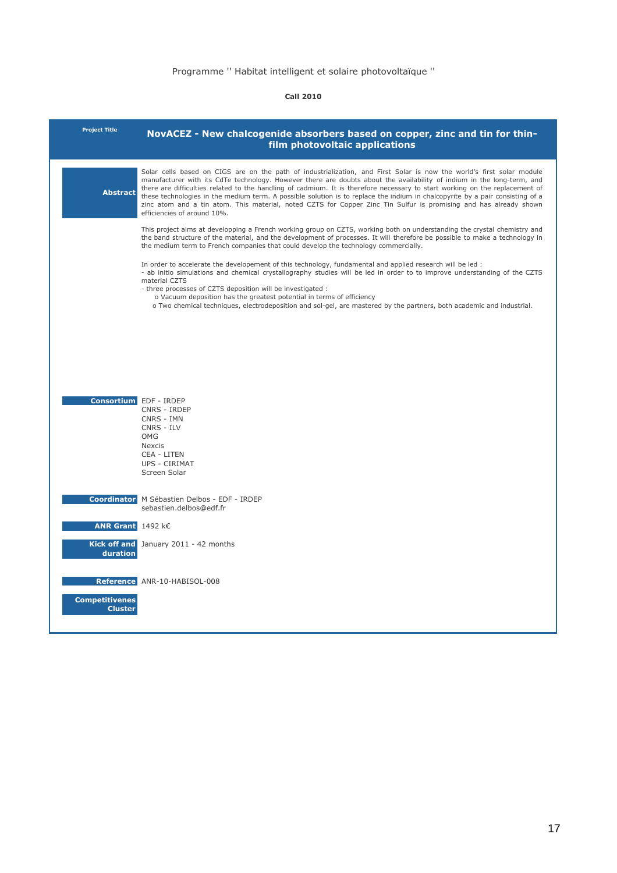| <b>Project Title</b>                    | NovACEZ - New chalcogenide absorbers based on copper, zinc and tin for thin-<br>film photovoltaic applications                                                                                                                                                                                                                                                                                                                                                                                                                                                                                                                                                      |
|-----------------------------------------|---------------------------------------------------------------------------------------------------------------------------------------------------------------------------------------------------------------------------------------------------------------------------------------------------------------------------------------------------------------------------------------------------------------------------------------------------------------------------------------------------------------------------------------------------------------------------------------------------------------------------------------------------------------------|
| <b>Abstract</b>                         | Solar cells based on CIGS are on the path of industrialization, and First Solar is now the world's first solar module<br>manufacturer with its CdTe technology. However there are doubts about the availability of indium in the long-term, and<br>there are difficulties related to the handling of cadmium. It is therefore necessary to start working on the replacement of<br>these technologies in the medium term. A possible solution is to replace the indium in chalcopyrite by a pair consisting of a<br>zinc atom and a tin atom. This material, noted CZTS for Copper Zinc Tin Sulfur is promising and has already shown<br>efficiencies of around 10%. |
|                                         | This project aims at developping a French working group on CZTS, working both on understanding the crystal chemistry and<br>the band structure of the material, and the development of processes. It will therefore be possible to make a technology in<br>the medium term to French companies that could develop the technology commercially.                                                                                                                                                                                                                                                                                                                      |
|                                         | In order to accelerate the developement of this technology, fundamental and applied research will be led :<br>- ab initio simulations and chemical crystallography studies will be led in order to to improve understanding of the CZTS<br>material CZTS<br>- three processes of CZTS deposition will be investigated :<br>o Vacuum deposition has the greatest potential in terms of efficiency<br>o Two chemical techniques, electrodeposition and sol-gel, are mastered by the partners, both academic and industrial.                                                                                                                                           |
|                                         |                                                                                                                                                                                                                                                                                                                                                                                                                                                                                                                                                                                                                                                                     |
| <b>Consortium</b> EDF - IRDEP           | CNRS - IRDEP<br>CNRS - IMN<br>CNRS - ILV<br><b>OMG</b><br><b>Nexcis</b><br><b>CEA - LITEN</b><br><b>UPS - CIRIMAT</b><br>Screen Solar                                                                                                                                                                                                                                                                                                                                                                                                                                                                                                                               |
|                                         | Coordinator M Sébastien Delbos - EDF - IRDEP<br>sebastien.delbos@edf.fr                                                                                                                                                                                                                                                                                                                                                                                                                                                                                                                                                                                             |
| <b>ANR Grant</b> $1492$ k $\epsilon$    |                                                                                                                                                                                                                                                                                                                                                                                                                                                                                                                                                                                                                                                                     |
| duration                                | Kick off and January 2011 - 42 months                                                                                                                                                                                                                                                                                                                                                                                                                                                                                                                                                                                                                               |
|                                         | Reference ANR-10-HABISOL-008                                                                                                                                                                                                                                                                                                                                                                                                                                                                                                                                                                                                                                        |
| <b>Competitivenes</b><br><b>Cluster</b> |                                                                                                                                                                                                                                                                                                                                                                                                                                                                                                                                                                                                                                                                     |
|                                         |                                                                                                                                                                                                                                                                                                                                                                                                                                                                                                                                                                                                                                                                     |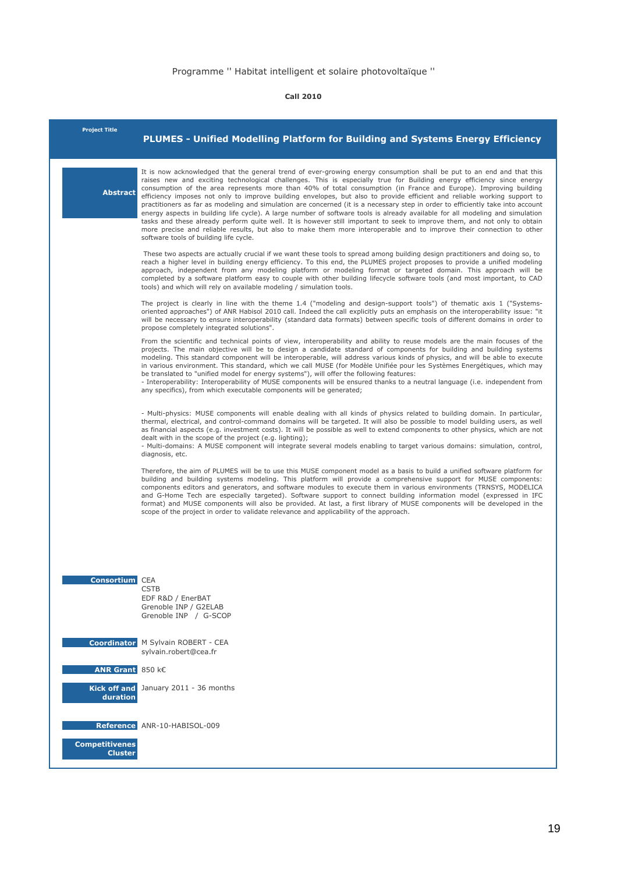| <b>Project Title</b>     | <b>PLUMES - Unified Modelling Platform for Building and Systems Energy Efficiency</b>                                                                                                                                                                                                                                                                                                                                                                                                                                                                                                                                                                                                                                                                                                                                                                                                                                                                                                                                                                             |
|--------------------------|-------------------------------------------------------------------------------------------------------------------------------------------------------------------------------------------------------------------------------------------------------------------------------------------------------------------------------------------------------------------------------------------------------------------------------------------------------------------------------------------------------------------------------------------------------------------------------------------------------------------------------------------------------------------------------------------------------------------------------------------------------------------------------------------------------------------------------------------------------------------------------------------------------------------------------------------------------------------------------------------------------------------------------------------------------------------|
| <b>Abstract</b>          | It is now acknowledged that the general trend of ever-growing energy consumption shall be put to an end and that this<br>raises new and exciting technological challenges. This is especially true for Building energy efficiency since energy<br>consumption of the area represents more than 40% of total consumption (in France and Europe). Improving building<br>efficiency imposes not only to improve building envelopes, but also to provide efficient and reliable working support to<br>practitioners as far as modeling and simulation are concerned (it is a necessary step in order to efficiently take into account<br>energy aspects in building life cycle). A large number of software tools is already available for all modeling and simulation<br>tasks and these already perform quite well. It is however still important to seek to improve them, and not only to obtain<br>more precise and reliable results, but also to make them more interoperable and to improve their connection to other<br>software tools of building life cycle. |
|                          | These two aspects are actually crucial if we want these tools to spread among building design practitioners and doing so, to<br>reach a higher level in building energy efficiency. To this end, the PLUMES project proposes to provide a unified modeling<br>approach, independent from any modeling platform or modeling format or targeted domain. This approach will be<br>completed by a software platform easy to couple with other building lifecycle software tools (and most important, to CAD<br>tools) and which will rely on available modeling / simulation tools.                                                                                                                                                                                                                                                                                                                                                                                                                                                                                   |
|                          | The project is clearly in line with the theme 1.4 ("modeling and design-support tools") of thematic axis 1 ("Systems-<br>oriented approaches") of ANR Habisol 2010 call. Indeed the call explicitly puts an emphasis on the interoperability issue: "it<br>will be necessary to ensure interoperability (standard data formats) between specific tools of different domains in order to<br>propose completely integrated solutions".                                                                                                                                                                                                                                                                                                                                                                                                                                                                                                                                                                                                                              |
|                          | From the scientific and technical points of view, interoperability and ability to reuse models are the main focuses of the<br>projects. The main objective will be to design a candidate standard of components for building and building systems<br>modeling. This standard component will be interoperable, will address various kinds of physics, and will be able to execute<br>in various environment. This standard, which we call MUSE (for Modèle Unifiée pour les Systèmes Energétiques, which may<br>be translated to "unified model for energy systems"), will offer the following features:<br>- Interoperability: Interoperability of MUSE components will be ensured thanks to a neutral language (i.e. independent from<br>any specifics), from which executable components will be generated;                                                                                                                                                                                                                                                     |
|                          | - Multi-physics: MUSE components will enable dealing with all kinds of physics related to building domain. In particular,<br>thermal, electrical, and control-command domains will be targeted. It will also be possible to model building users, as well<br>as financial aspects (e.g. investment costs). It will be possible as well to extend components to other physics, which are not<br>dealt with in the scope of the project (e.g. lighting);<br>- Multi-domains: A MUSE component will integrate several models enabling to target various domains: simulation, control,<br>diagnosis, etc.                                                                                                                                                                                                                                                                                                                                                                                                                                                             |
|                          | Therefore, the aim of PLUMES will be to use this MUSE component model as a basis to build a unified software platform for<br>building and building systems modeling. This platform will provide a comprehensive support for MUSE components:<br>components editors and generators, and software modules to execute them in various environments (TRNSYS, MODELICA<br>and G-Home Tech are especially targeted). Software support to connect building information model (expressed in IFC<br>format) and MUSE components will also be provided. At last, a first library of MUSE components will be developed in the<br>scope of the project in order to validate relevance and applicability of the approach.                                                                                                                                                                                                                                                                                                                                                      |
| <b>Consortium CEA</b>    | <b>CSTB</b><br>EDF R&D / EnerBAT<br>Grenoble INP / G2ELAB<br>Grenoble INP / G-SCOP                                                                                                                                                                                                                                                                                                                                                                                                                                                                                                                                                                                                                                                                                                                                                                                                                                                                                                                                                                                |
|                          | <b>Coordinator</b> M Sylvain ROBERT - CEA<br>sylvain.robert@cea.fr                                                                                                                                                                                                                                                                                                                                                                                                                                                                                                                                                                                                                                                                                                                                                                                                                                                                                                                                                                                                |
| ANR Grant 850 k€         |                                                                                                                                                                                                                                                                                                                                                                                                                                                                                                                                                                                                                                                                                                                                                                                                                                                                                                                                                                                                                                                                   |
| Kick off and<br>duration | January 2011 - 36 months                                                                                                                                                                                                                                                                                                                                                                                                                                                                                                                                                                                                                                                                                                                                                                                                                                                                                                                                                                                                                                          |
| <b>Competitivenes</b>    | Reference ANR-10-HABISOL-009                                                                                                                                                                                                                                                                                                                                                                                                                                                                                                                                                                                                                                                                                                                                                                                                                                                                                                                                                                                                                                      |
| <b>Cluster</b>           |                                                                                                                                                                                                                                                                                                                                                                                                                                                                                                                                                                                                                                                                                                                                                                                                                                                                                                                                                                                                                                                                   |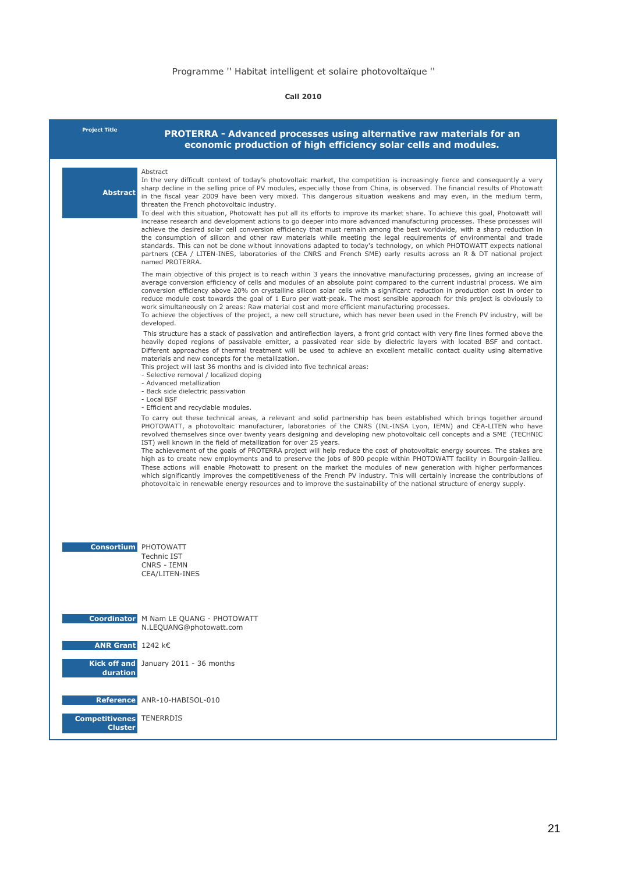| <b>Project Title</b>                    | PROTERRA - Advanced processes using alternative raw materials for an<br>economic production of high efficiency solar cells and modules.                                                                                                                                                                                                                                                                                                                                                                                                                                                                                                                                                                                                                                                                                                                                                                                                                                                                                                                                                                                                                                                                                                                                                                                                                                   |
|-----------------------------------------|---------------------------------------------------------------------------------------------------------------------------------------------------------------------------------------------------------------------------------------------------------------------------------------------------------------------------------------------------------------------------------------------------------------------------------------------------------------------------------------------------------------------------------------------------------------------------------------------------------------------------------------------------------------------------------------------------------------------------------------------------------------------------------------------------------------------------------------------------------------------------------------------------------------------------------------------------------------------------------------------------------------------------------------------------------------------------------------------------------------------------------------------------------------------------------------------------------------------------------------------------------------------------------------------------------------------------------------------------------------------------|
| <b>Abstract</b>                         | Abstract<br>In the very difficult context of today's photovoltaic market, the competition is increasingly fierce and consequently a very<br>sharp decline in the selling price of PV modules, especially those from China, is observed. The financial results of Photowatt<br>in the fiscal year 2009 have been very mixed. This dangerous situation weakens and may even, in the medium term,<br>threaten the French photovoltaic industry.<br>To deal with this situation, Photowatt has put all its efforts to improve its market share. To achieve this goal, Photowatt will<br>increase research and development actions to go deeper into more advanced manufacturing processes. These processes will<br>achieve the desired solar cell conversion efficiency that must remain among the best worldwide, with a sharp reduction in<br>the consumption of silicon and other raw materials while meeting the legal requirements of environmental and trade<br>standards. This can not be done without innovations adapted to today's technology, on which PHOTOWATT expects national<br>partners (CEA / LITEN-INES, laboratories of the CNRS and French SME) early results across an R & DT national project<br>named PROTERRA.                                                                                                                                       |
|                                         | The main objective of this project is to reach within 3 years the innovative manufacturing processes, giving an increase of<br>average conversion efficiency of cells and modules of an absolute point compared to the current industrial process. We aim<br>conversion efficiency above 20% on crystalline silicon solar cells with a significant reduction in production cost in order to<br>reduce module cost towards the goal of 1 Euro per watt-peak. The most sensible approach for this project is obviously to<br>work simultaneously on 2 areas: Raw material cost and more efficient manufacturing processes.<br>To achieve the objectives of the project, a new cell structure, which has never been used in the French PV industry, will be<br>developed.<br>This structure has a stack of passivation and antireflection layers, a front grid contact with very fine lines formed above the<br>heavily doped regions of passivable emitter, a passivated rear side by dielectric layers with located BSF and contact.<br>Different approaches of thermal treatment will be used to achieve an excellent metallic contact quality using alternative<br>materials and new concepts for the metallization.<br>This project will last 36 months and is divided into five technical areas:<br>- Selective removal / localized doping<br>- Advanced metallization |
|                                         | - Back side dielectric passivation<br>- Local BSF<br>- Efficient and recyclable modules.<br>To carry out these technical areas, a relevant and solid partnership has been established which brings together around<br>PHOTOWATT, a photovoltaic manufacturer, laboratories of the CNRS (INL-INSA Lyon, IEMN) and CEA-LITEN who have<br>revolved themselves since over twenty years designing and developing new photovoltaic cell concepts and a SME (TECHNIC<br>IST) well known in the field of metallization for over 25 years.<br>The achievement of the goals of PROTERRA project will help reduce the cost of photovoltaic energy sources. The stakes are<br>high as to create new employments and to preserve the jobs of 800 people within PHOTOWATT facility in Bourgoin-Jallieu.<br>These actions will enable Photowatt to present on the market the modules of new generation with higher performances<br>which significantly improves the competitiveness of the French PV industry. This will certainly increase the contributions of<br>photovoltaic in renewable energy resources and to improve the sustainability of the national structure of energy supply.                                                                                                                                                                                             |
|                                         | <b>Consortium</b> PHOTOWATT<br><b>Technic IST</b><br>CNRS - IEMN<br>CEA/LITEN-INES                                                                                                                                                                                                                                                                                                                                                                                                                                                                                                                                                                                                                                                                                                                                                                                                                                                                                                                                                                                                                                                                                                                                                                                                                                                                                        |
|                                         | <b>Coordinator</b> M Nam LE QUANG - PHOTOWATT<br>N.LEQUANG@photowatt.com                                                                                                                                                                                                                                                                                                                                                                                                                                                                                                                                                                                                                                                                                                                                                                                                                                                                                                                                                                                                                                                                                                                                                                                                                                                                                                  |
| <b>ANR Grant</b> $1242 kE$              |                                                                                                                                                                                                                                                                                                                                                                                                                                                                                                                                                                                                                                                                                                                                                                                                                                                                                                                                                                                                                                                                                                                                                                                                                                                                                                                                                                           |
| duration                                | Kick off and January 2011 - 36 months                                                                                                                                                                                                                                                                                                                                                                                                                                                                                                                                                                                                                                                                                                                                                                                                                                                                                                                                                                                                                                                                                                                                                                                                                                                                                                                                     |
|                                         | Reference ANR-10-HABISOL-010                                                                                                                                                                                                                                                                                                                                                                                                                                                                                                                                                                                                                                                                                                                                                                                                                                                                                                                                                                                                                                                                                                                                                                                                                                                                                                                                              |
| <b>Competitivenes</b><br><b>Cluster</b> | <b>TENERRDIS</b>                                                                                                                                                                                                                                                                                                                                                                                                                                                                                                                                                                                                                                                                                                                                                                                                                                                                                                                                                                                                                                                                                                                                                                                                                                                                                                                                                          |